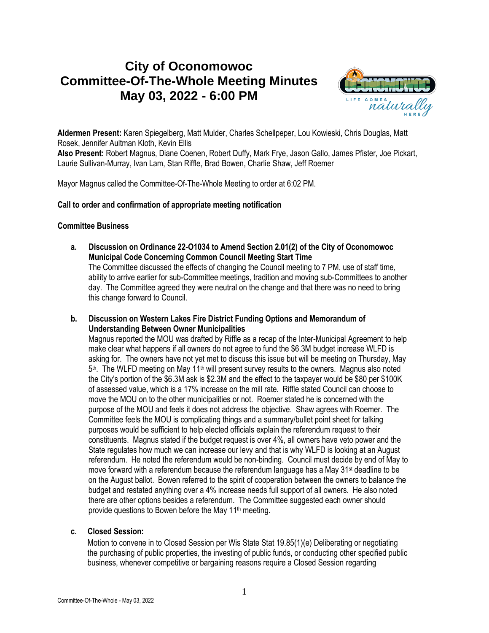# **City of Oconomowoc Committee-Of-The-Whole Meeting Minutes May 03, 2022 - 6:00 PM**



**Aldermen Present:** Karen Spiegelberg, Matt Mulder, Charles Schellpeper, Lou Kowieski, Chris Douglas, Matt Rosek, Jennifer Aultman Kloth, Kevin Ellis

**Also Present:** Robert Magnus, Diane Coenen, Robert Duffy, Mark Frye, Jason Gallo, James Pfister, Joe Pickart, Laurie Sullivan-Murray, Ivan Lam, Stan Riffle, Brad Bowen, Charlie Shaw, Jeff Roemer

Mayor Magnus called the Committee-Of-The-Whole Meeting to order at 6:02 PM.

## **Call to order and confirmation of appropriate meeting notification**

#### **Committee Business**

- **a. Discussion on Ordinance 22-O1034 to Amend Section 2.01(2) of the City of Oconomowoc Municipal Code Concerning Common Council Meeting Start Time** The Committee discussed the effects of changing the Council meeting to 7 PM, use of staff time, ability to arrive earlier for sub-Committee meetings, tradition and moving sub-Committees to another day. The Committee agreed they were neutral on the change and that there was no need to bring this change forward to Council.
- **b. Discussion on Western Lakes Fire District Funding Options and Memorandum of Understanding Between Owner Municipalities**

Magnus reported the MOU was drafted by Riffle as a recap of the Inter-Municipal Agreement to help make clear what happens if all owners do not agree to fund the \$6.3M budget increase WLFD is asking for. The owners have not yet met to discuss this issue but will be meeting on Thursday, May 5<sup>th</sup>. The WLFD meeting on May 11<sup>th</sup> will present survey results to the owners. Magnus also noted the City's portion of the \$6.3M ask is \$2.3M and the effect to the taxpayer would be \$80 per \$100K of assessed value, which is a 17% increase on the mill rate. Riffle stated Council can choose to move the MOU on to the other municipalities or not. Roemer stated he is concerned with the purpose of the MOU and feels it does not address the objective. Shaw agrees with Roemer. The Committee feels the MOU is complicating things and a summary/bullet point sheet for talking purposes would be sufficient to help elected officials explain the referendum request to their constituents. Magnus stated if the budget request is over 4%, all owners have veto power and the State regulates how much we can increase our levy and that is why WLFD is looking at an August referendum. He noted the referendum would be non-binding. Council must decide by end of May to move forward with a referendum because the referendum language has a May 31st deadline to be on the August ballot. Bowen referred to the spirit of cooperation between the owners to balance the budget and restated anything over a 4% increase needs full support of all owners. He also noted there are other options besides a referendum. The Committee suggested each owner should provide questions to Bowen before the May 11<sup>th</sup> meeting.

## **c. Closed Session:**

Motion to convene in to Closed Session per Wis State Stat 19.85(1)(e) Deliberating or negotiating the purchasing of public properties, the investing of public funds, or conducting other specified public business, whenever competitive or bargaining reasons require a Closed Session regarding